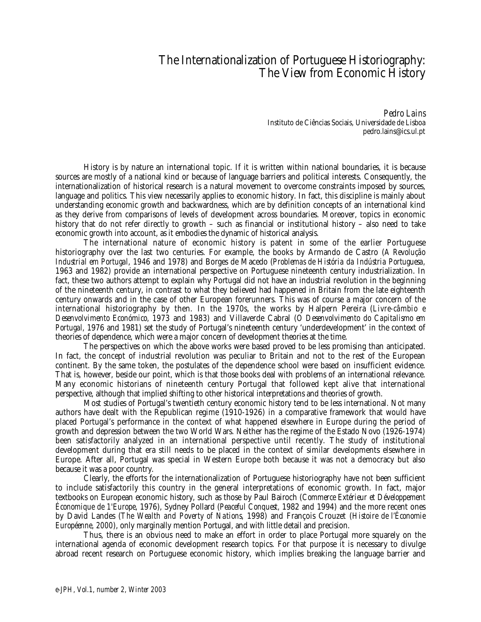## The Internationalization of Portuguese Historiography: The View from Economic History

*Pedro Lains* Instituto de Ciências Sociais, Universidade de Lisboa pedro.lains@ics.ul.pt

History is by nature an international topic. If it is written within national boundaries, it is because sources are mostly of a national kind or because of language barriers and political interests. Consequently, the internationalization of historical research is a natural movement to overcome constraints imposed by sources, language and politics. This view necessarily applies to economic history. In fact, this discipline is mainly about understanding economic growth and backwardness, which are by definition concepts of an international kind as they derive from comparisons of levels of development across boundaries. Moreover, topics in economic history that do not refer directly to growth – such as financial or institutional history – also need to take economic growth into account, as it embodies the dynamic of historical analysis.

The international nature of economic history is patent in some of the earlier Portuguese historiography over the last two centuries. For example, the books by Armando de Castro (*A Revolução Industrial em Portugal*, 1946 and 1978) and Borges de Macedo (*Problemas de História da Indústria Portuguesa,* 1963 and 1982) provide an international perspective on Portuguese nineteenth century industrialization. In fact, these two authors attempt to explain why Portugal did not have an industrial revolution in the beginning of the nineteenth century, in contrast to what they believed had happened in Britain from the late eighteenth century onwards and in the case of other European forerunners. This was of course a major concern of the international historiography by then. In the 1970s, the works by Halpern Pereira (*Livre-câmbio e Desenvolvimento Económico,* 1973 and 1983) and Villaverde Cabral (*O Desenvolvimento do Capitalismo em Portugal,* 1976 and 1981) set the study of Portugal's nineteenth century 'underdevelopment' in the context of theories of dependence, which were a major concern of development theories at the time.

The perspectives on which the above works were based proved to be less promising than anticipated. In fact, the concept of industrial revolution was peculiar to Britain and not to the rest of the European continent. By the same token, the postulates of the dependence school were based on insufficient evidence. That is, however, beside our point, which is that those books deal with problems of an international relevance. Many economic historians of nineteenth century Portugal that followed kept alive that international perspective, although that implied shifting to other historical interpretations and theories of growth.

Most studies of Portugal's twentieth century economic history tend to be less international. Not many authors have dealt with the Republican regime (1910-1926) in a comparative framework that would have placed Portugal's performance in the context of what happened elsewhere in Europe during the period of growth and depression between the two World Wars. Neither has the regime of the Estado Novo (1926-1974) been satisfactorily analyzed in an international perspective until recently. The study of institutional development during that era still needs to be placed in the context of similar developments elsewhere in Europe. After all, Portugal was special in Western Europe both because it was not a democracy but also because it was a poor country.

Clearly, the efforts for the internationalization of Portuguese historiography have not been sufficient to include satisfactorily this country in the general interpretations of economic growth. In fact, major textbooks on European economic history, such as those by Paul Bairoch (*Commerce Extérieur et Développement Économique de 1'Europe*, 1976), Sydney Pollard (*Peaceful Conquest,* 1982 and 1994) and the more recent ones by David Landes (*The Wealth and Poverty of Nations,* 1998) and François Crouzet (*Histoire de l'Économie Européenne, 2000*), only marginally mention Portugal, and with little detail and precision.

Thus, there is an obvious need to make an effort in order to place Portugal more squarely on the international agenda of economic development research topics. For that purpose it is necessary to divulge abroad recent research on Portuguese economic history, which implies breaking the language barrier and